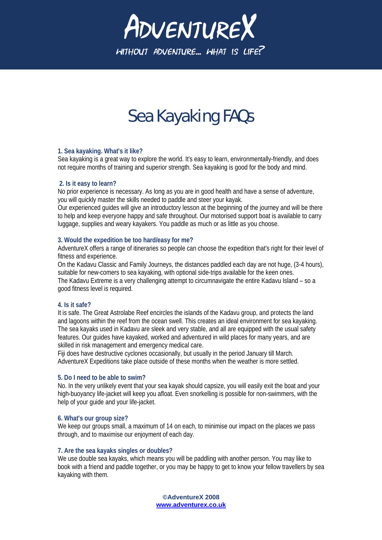

# Sea Kayaking FAQs

## **1. Sea kayaking. What's it like?**

Sea kayaking is a great way to explore the world. It's easy to learn, environmentally-friendly, and does not require months of training and superior strength. Sea kayaking is good for the body and mind.

#### **2. Is it easy to learn?**

No prior experience is necessary. As long as you are in good health and have a sense of adventure, you will quickly master the skills needed to paddle and steer your kayak.

Our experienced guides will give an introductory lesson at the beginning of the journey and will be there to help and keep everyone happy and safe throughout. Our motorised support boat is available to carry luggage, supplies and weary kayakers. You paddle as much or as little as you choose.

#### **3. Would the expedition be too hard/easy for me?**

AdventureX offers a range of itineraries so people can choose the expedition that's right for their level of fitness and experience.

On the Kadavu Classic and Family Journeys, the distances paddled each day are not huge, (3-4 hours), suitable for new-comers to sea kayaking, with optional side-trips available for the keen ones. The Kadavu Extreme is a very challenging attempt to circumnavigate the entire Kadavu Island – so a good fitness level is required.

#### **4. Is it safe?**

It is safe. The Great Astrolabe Reef encircles the islands of the Kadavu group, and protects the land and lagoons within the reef from the ocean swell. This creates an ideal environment for sea kayaking. The sea kayaks used in Kadavu are sleek and very stable, and all are equipped with the usual safety features. Our guides have kayaked, worked and adventured in wild places for many years, and are skilled in risk management and emergency medical care.

Fiji does have destructive cyclones occasionally, but usually in the period January till March. AdventureX Expeditions take place outside of these months when the weather is more settled.

#### **5. Do I need to be able to swim?**

No. In the very unlikely event that your sea kayak should capsize, you will easily exit the boat and your high-buoyancy life-jacket will keep you afloat. Even snorkelling is possible for non-swimmers, with the help of your guide and your life-jacket.

#### **6. What's our group size?**

We keep our groups small, a maximum of 14 on each, to minimise our impact on the places we pass through, and to maximise our enjoyment of each day.

#### **7. Are the sea kayaks singles or doubles?**

We use double sea kayaks, which means you will be paddling with another person. You may like to book with a friend and paddle together, or you may be happy to get to know your fellow travellers by sea kayaking with them.

> **©AdventureX 2008 www.adventurex.co.uk**